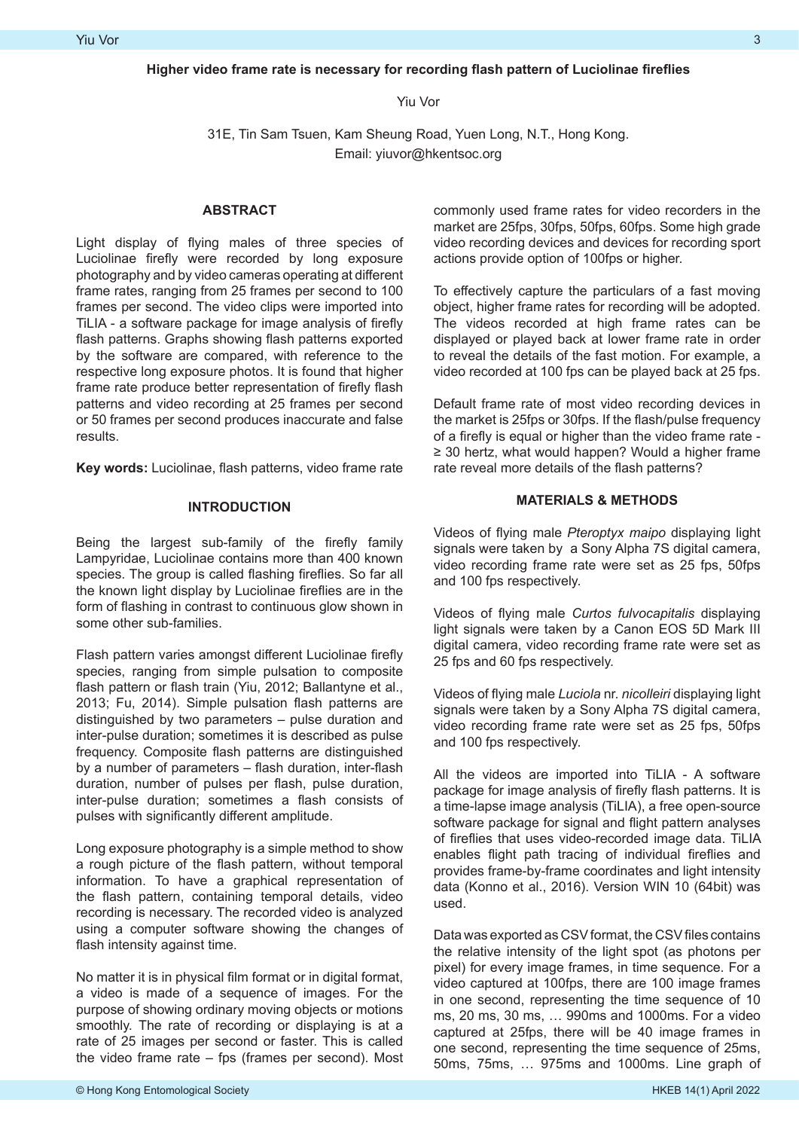Yiu Vor

31E, Tin Sam Tsuen, Kam Sheung Road, Yuen Long, N.T., Hong Kong. Email: yiuvor@hkentsoc.org

### **ABSTRACT**

Light display of flying males of three species of Luciolinae firefly were recorded by long exposure photography and by video cameras operating at different frame rates, ranging from 25 frames per second to 100 frames per second. The video clips were imported into TiLIA - a software package for image analysis of firefly flash patterns. Graphs showing flash patterns exported by the software are compared, with reference to the respective long exposure photos. It is found that higher frame rate produce better representation of firefly flash patterns and video recording at 25 frames per second or 50 frames per second produces inaccurate and false results.

**Key words:** Luciolinae, flash patterns, video frame rate

# **INTRODUCTION**

Being the largest sub-family of the firefly family Lampyridae, Luciolinae contains more than 400 known species. The group is called flashing fireflies. So far all the known light display by Luciolinae fireflies are in the form of flashing in contrast to continuous glow shown in some other sub-families.

Flash pattern varies amongst different Luciolinae firefly species, ranging from simple pulsation to composite flash pattern or flash train (Yiu, 2012; Ballantyne et al., 2013; Fu, 2014). Simple pulsation flash patterns are distinguished by two parameters – pulse duration and inter-pulse duration; sometimes it is described as pulse frequency. Composite flash patterns are distinguished by a number of parameters – flash duration, inter-flash duration, number of pulses per flash, pulse duration, inter-pulse duration; sometimes a flash consists of pulses with significantly different amplitude.

Long exposure photography is a simple method to show a rough picture of the flash pattern, without temporal information. To have a graphical representation of the flash pattern, containing temporal details, video recording is necessary. The recorded video is analyzed using a computer software showing the changes of flash intensity against time.

No matter it is in physical film format or in digital format, a video is made of a sequence of images. For the purpose of showing ordinary moving objects or motions smoothly. The rate of recording or displaying is at a rate of 25 images per second or faster. This is called the video frame rate – fps (frames per second). Most

commonly used frame rates for video recorders in the market are 25fps, 30fps, 50fps, 60fps. Some high grade video recording devices and devices for recording sport actions provide option of 100fps or higher.

To effectively capture the particulars of a fast moving object, higher frame rates for recording will be adopted. The videos recorded at high frame rates can be displayed or played back at lower frame rate in order to reveal the details of the fast motion. For example, a video recorded at 100 fps can be played back at 25 fps.

Default frame rate of most video recording devices in the market is 25fps or 30fps. If the flash/pulse frequency of a firefly is equal or higher than the video frame rate - ≥ 30 hertz, what would happen? Would a higher frame rate reveal more details of the flash patterns?

## **MATERIALS & METHODS**

Videos of flying male *Pteroptyx maipo* displaying light signals were taken by a Sony Alpha 7S digital camera, video recording frame rate were set as 25 fps, 50fps and 100 fps respectively.

Videos of flying male *Curtos fulvocapitalis* displaying light signals were taken by a Canon EOS 5D Mark III digital camera, video recording frame rate were set as 25 fps and 60 fps respectively.

Videos of flying male *Luciola* nr. *nicolleiri* displaying light signals were taken by a Sony Alpha 7S digital camera, video recording frame rate were set as 25 fps, 50fps and 100 fps respectively.

All the videos are imported into TiLIA - A software package for image analysis of firefly flash patterns. It is a time-lapse image analysis (TiLIA), a free open-source software package for signal and flight pattern analyses of fireflies that uses video-recorded image data. TiLIA enables flight path tracing of individual fireflies and provides frame-by-frame coordinates and light intensity data (Konno et al., 2016). Version WIN 10 (64bit) was used.

Data was exported as CSV format, the CSV files contains the relative intensity of the light spot (as photons per pixel) for every image frames, in time sequence. For a video captured at 100fps, there are 100 image frames in one second, representing the time sequence of 10 ms, 20 ms, 30 ms, … 990ms and 1000ms. For a video captured at 25fps, there will be 40 image frames in one second, representing the time sequence of 25ms, 50ms, 75ms, … 975ms and 1000ms. Line graph of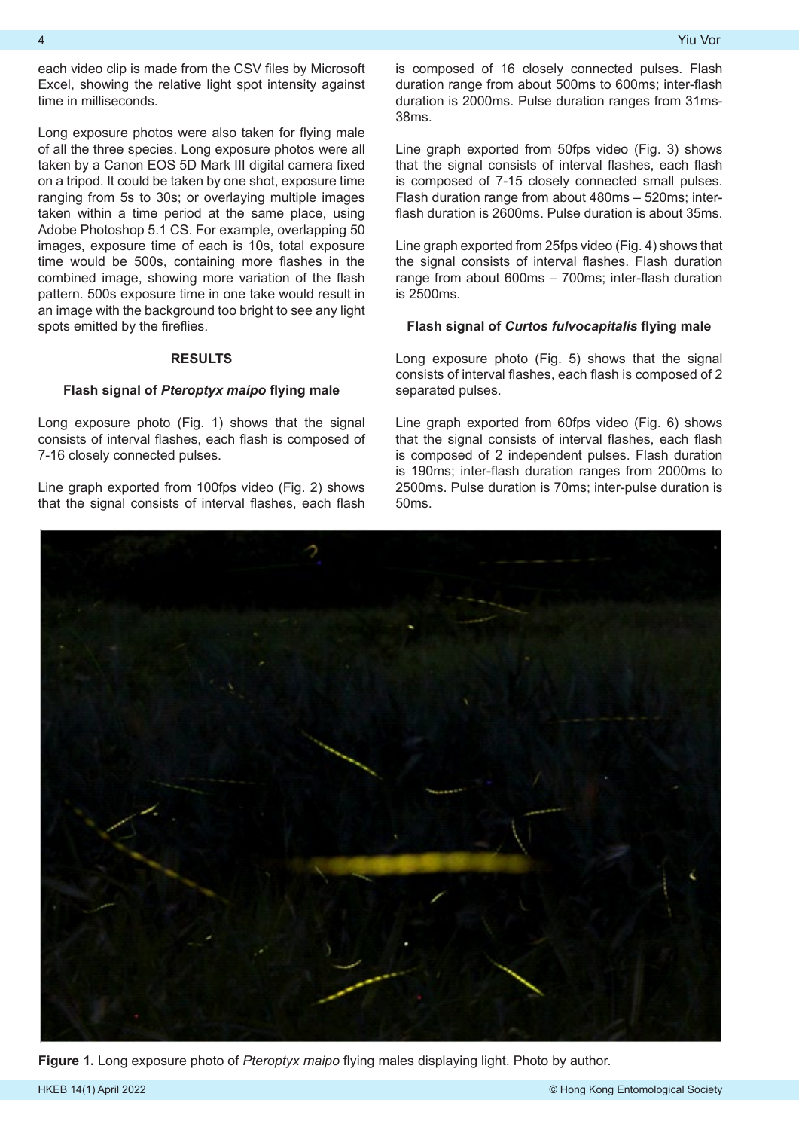each video clip is made from the CSV files by Microsoft Excel, showing the relative light spot intensity against time in milliseconds.

Long exposure photos were also taken for flying male of all the three species. Long exposure photos were all taken by a Canon EOS 5D Mark III digital camera fixed on a tripod. It could be taken by one shot, exposure time ranging from 5s to 30s; or overlaying multiple images taken within a time period at the same place, using Adobe Photoshop 5.1 CS. For example, overlapping 50 images, exposure time of each is 10s, total exposure time would be 500s, containing more flashes in the combined image, showing more variation of the flash pattern. 500s exposure time in one take would result in an image with the background too bright to see any light spots emitted by the fireflies.

# **RESULTS**

#### **Flash signal of** *Pteroptyx maipo* **flying male**

Long exposure photo (Fig. 1) shows that the signal consists of interval flashes, each flash is composed of 7-16 closely connected pulses.

Line graph exported from 100fps video (Fig. 2) shows that the signal consists of interval flashes, each flash

is composed of 16 closely connected pulses. Flash duration range from about 500ms to 600ms; inter-flash duration is 2000ms. Pulse duration ranges from 31ms-38ms.

Line graph exported from 50fps video (Fig. 3) shows that the signal consists of interval flashes, each flash is composed of 7-15 closely connected small pulses. Flash duration range from about 480ms – 520ms; interflash duration is 2600ms. Pulse duration is about 35ms.

Line graph exported from 25fps video (Fig. 4) shows that the signal consists of interval flashes. Flash duration range from about 600ms – 700ms; inter-flash duration is 2500ms.

#### **Flash signal of** *Curtos fulvocapitalis* **flying male**

Long exposure photo (Fig. 5) shows that the signal consists of interval flashes, each flash is composed of 2 separated pulses.

Line graph exported from 60fps video (Fig. 6) shows that the signal consists of interval flashes, each flash is composed of 2 independent pulses. Flash duration is 190ms; inter-flash duration ranges from 2000ms to 2500ms. Pulse duration is 70ms; inter-pulse duration is 50ms.



**Figure 1.** Long exposure photo of *Pteroptyx maipo* flying males displaying light. Photo by author.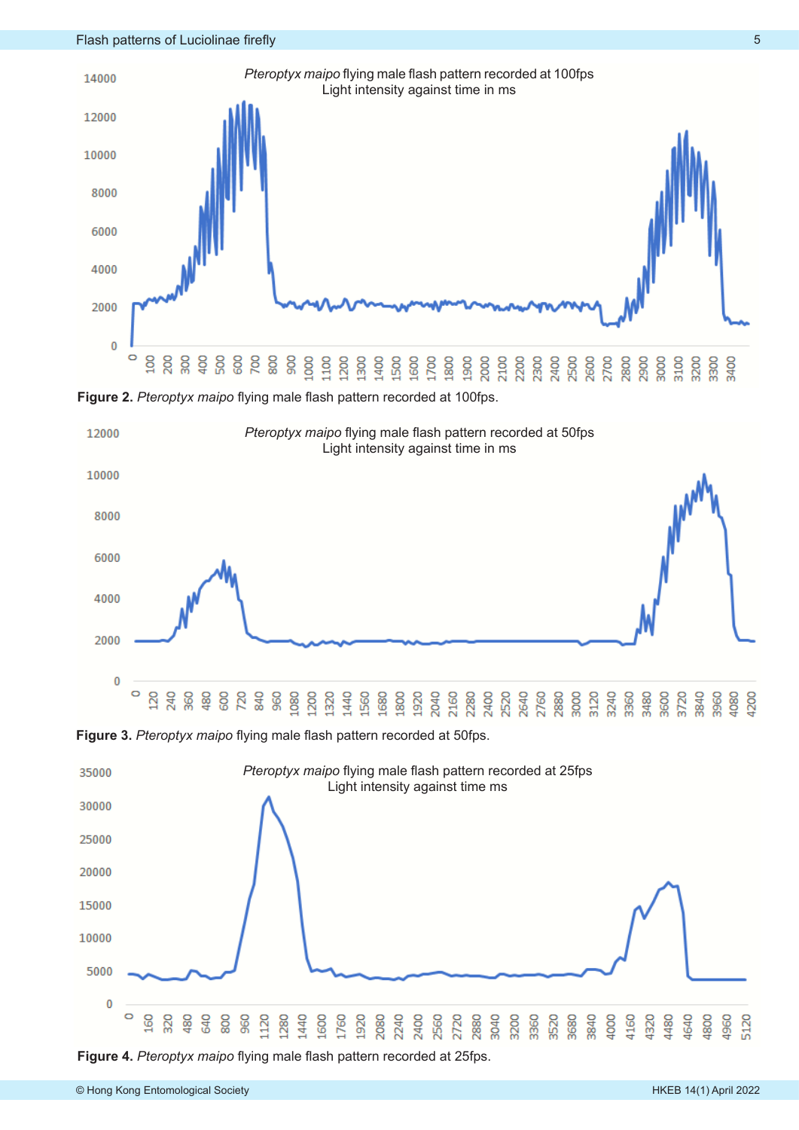

**Figure 2.** *Pteroptyx maipo* flying male flash pattern recorded at 100fps.



**Figure 3.** *Pteroptyx maipo* flying male flash pattern recorded at 50fps.



**Figure 4.** *Pteroptyx maipo* flying male flash pattern recorded at 25fps.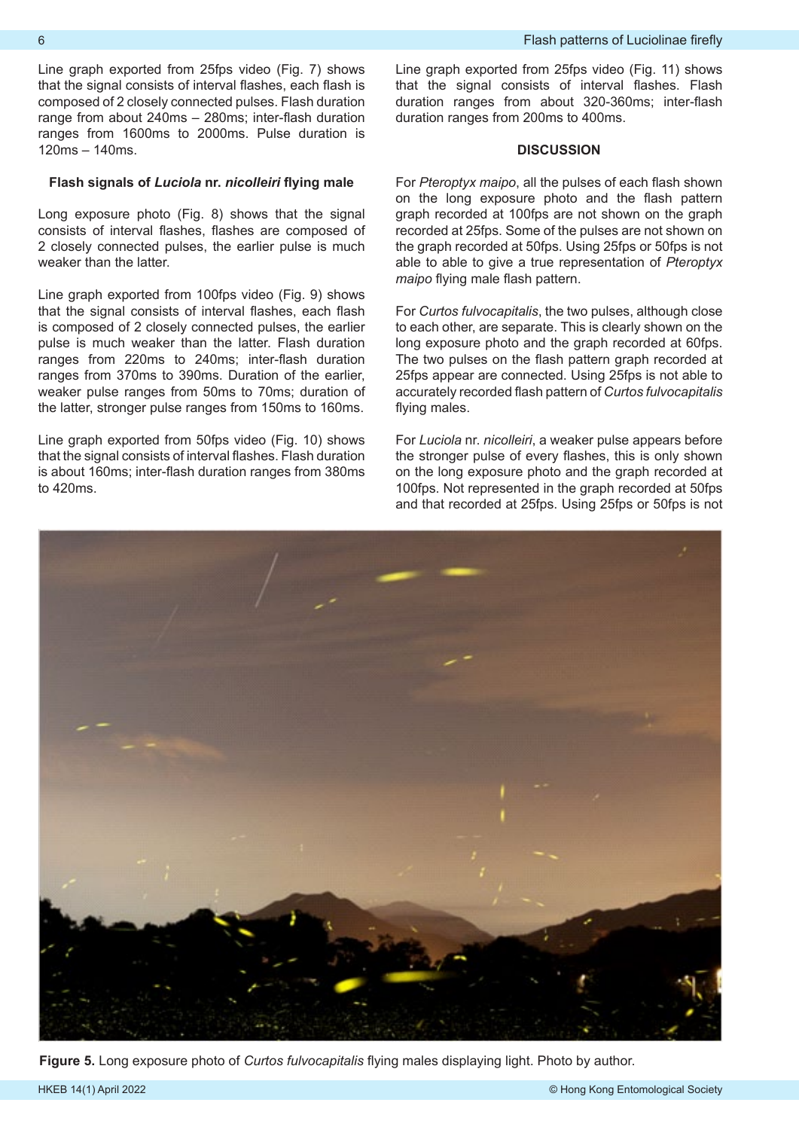Line graph exported from 25fps video (Fig. 7) shows that the signal consists of interval flashes, each flash is composed of 2 closely connected pulses. Flash duration range from about 240ms – 280ms; inter-flash duration ranges from 1600ms to 2000ms. Pulse duration is 120ms – 140ms.

#### **Flash signals of** *Luciola* **nr.** *nicolleiri* **flying male**

Long exposure photo (Fig. 8) shows that the signal consists of interval flashes, flashes are composed of 2 closely connected pulses, the earlier pulse is much weaker than the latter.

Line graph exported from 100fps video (Fig. 9) shows that the signal consists of interval flashes, each flash is composed of 2 closely connected pulses, the earlier pulse is much weaker than the latter. Flash duration ranges from 220ms to 240ms; inter-flash duration ranges from 370ms to 390ms. Duration of the earlier, weaker pulse ranges from 50ms to 70ms; duration of the latter, stronger pulse ranges from 150ms to 160ms.

Line graph exported from 50fps video (Fig. 10) shows that the signal consists of interval flashes. Flash duration is about 160ms; inter-flash duration ranges from 380ms to 420ms.

Line graph exported from 25fps video (Fig. 11) shows that the signal consists of interval flashes. Flash duration ranges from about 320-360ms; inter-flash duration ranges from 200ms to 400ms.

### **DISCUSSION**

For *Pteroptyx maipo*, all the pulses of each flash shown on the long exposure photo and the flash pattern graph recorded at 100fps are not shown on the graph recorded at 25fps. Some of the pulses are not shown on the graph recorded at 50fps. Using 25fps or 50fps is not able to able to give a true representation of *Pteroptyx maipo* flying male flash pattern.

For *Curtos fulvocapitalis*, the two pulses, although close to each other, are separate. This is clearly shown on the long exposure photo and the graph recorded at 60fps. The two pulses on the flash pattern graph recorded at 25fps appear are connected. Using 25fps is not able to accurately recorded flash pattern of *Curtos fulvocapitalis*  flying males.

For *Luciola* nr. *nicolleiri*, a weaker pulse appears before the stronger pulse of every flashes, this is only shown on the long exposure photo and the graph recorded at 100fps. Not represented in the graph recorded at 50fps and that recorded at 25fps. Using 25fps or 50fps is not



**Figure 5.** Long exposure photo of *Curtos fulvocapitalis* flying males displaying light. Photo by author.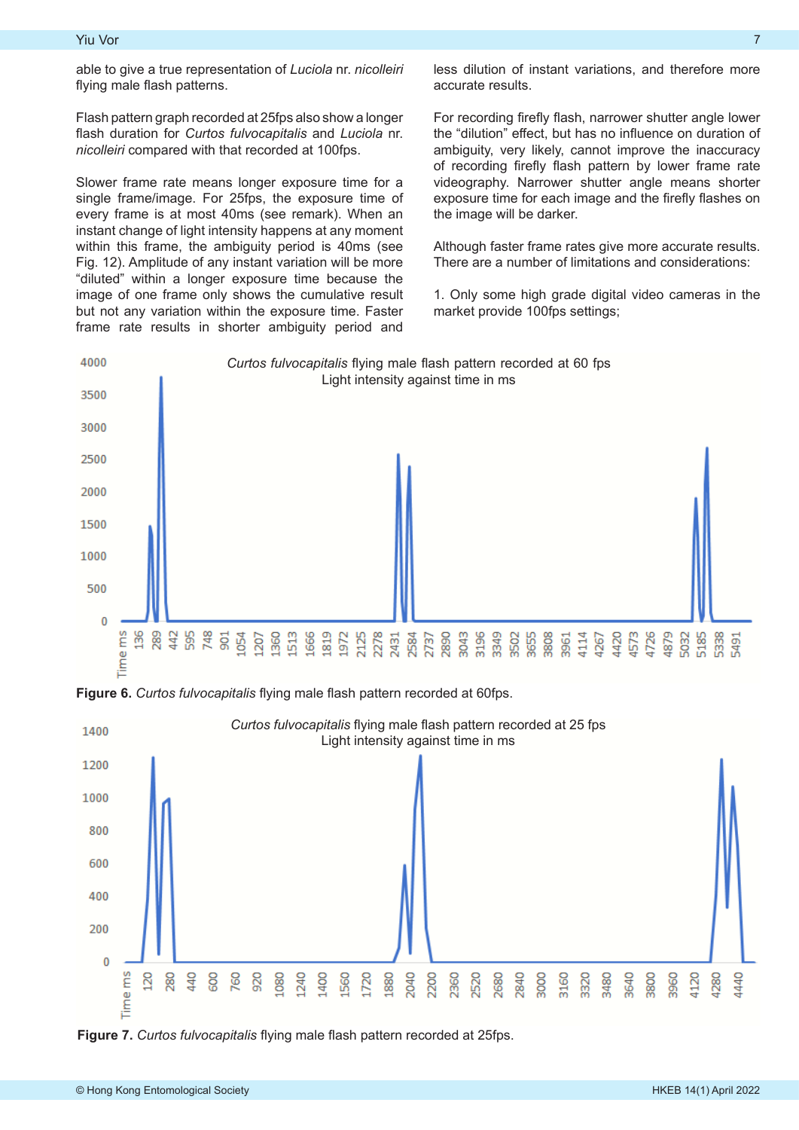able to give a true representation of *Luciola* nr. *nicolleiri* flying male flash patterns.

Flash pattern graph recorded at 25fps also show a longer flash duration for *Curtos fulvocapitalis* and *Luciola* nr. *nicolleiri* compared with that recorded at 100fps.

Slower frame rate means longer exposure time for a single frame/image. For 25fps, the exposure time of every frame is at most 40ms (see remark). When an instant change of light intensity happens at any moment within this frame, the ambiguity period is 40ms (see Fig. 12). Amplitude of any instant variation will be more "diluted" within a longer exposure time because the image of one frame only shows the cumulative result but not any variation within the exposure time. Faster frame rate results in shorter ambiguity period and

less dilution of instant variations, and therefore more accurate results.

For recording firefly flash, narrower shutter angle lower the "dilution" effect, but has no influence on duration of ambiguity, very likely, cannot improve the inaccuracy of recording firefly flash pattern by lower frame rate videography. Narrower shutter angle means shorter exposure time for each image and the firefly flashes on the image will be darker.

Although faster frame rates give more accurate results. There are a number of limitations and considerations:

1. Only some high grade digital video cameras in the market provide 100fps settings;



**Figure 6.** *Curtos fulvocapitalis* flying male flash pattern recorded at 60fps.



**Figure 7.** *Curtos fulvocapitalis* flying male flash pattern recorded at 25fps.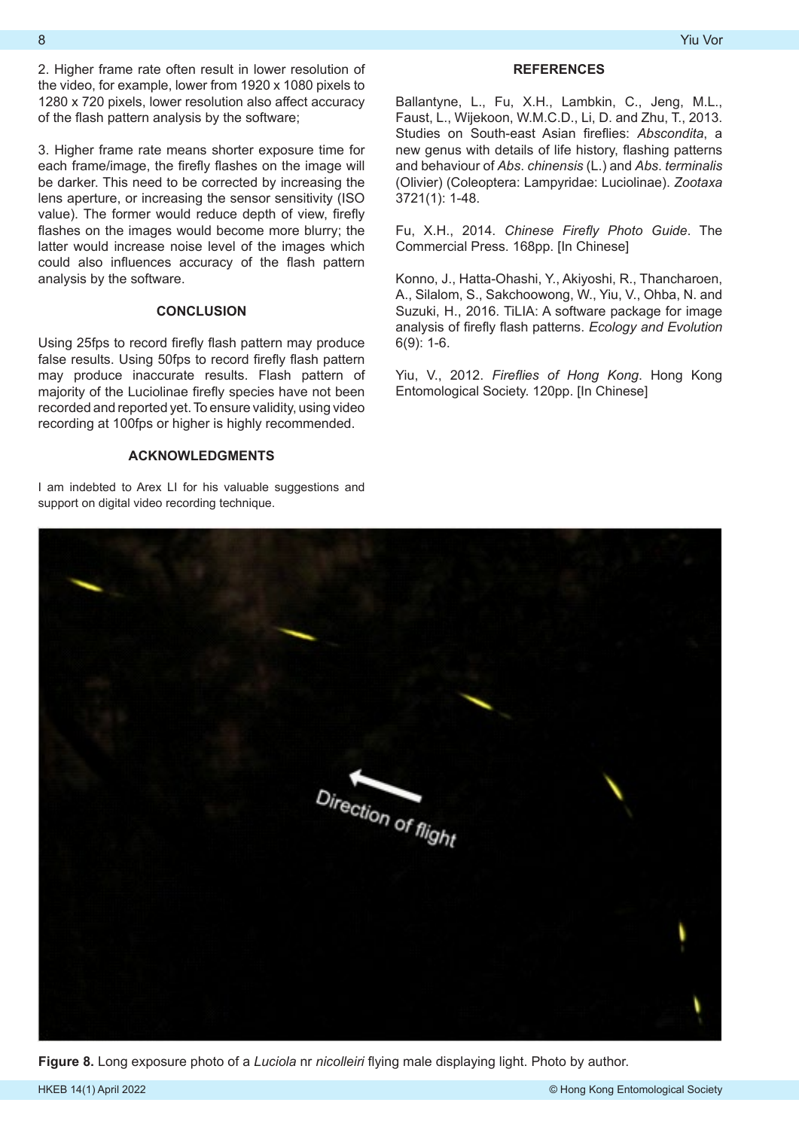2. Higher frame rate often result in lower resolution of the video, for example, lower from 1920 x 1080 pixels to 1280 x 720 pixels, lower resolution also affect accuracy of the flash pattern analysis by the software;

3. Higher frame rate means shorter exposure time for each frame/image, the firefly flashes on the image will be darker. This need to be corrected by increasing the lens aperture, or increasing the sensor sensitivity (ISO value). The former would reduce depth of view, firefly flashes on the images would become more blurry; the latter would increase noise level of the images which could also influences accuracy of the flash pattern analysis by the software.

## **CONCLUSION**

Using 25fps to record firefly flash pattern may produce false results. Using 50fps to record firefly flash pattern may produce inaccurate results. Flash pattern of majority of the Luciolinae firefly species have not been recorded and reported yet. To ensure validity, using video recording at 100fps or higher is highly recommended.

## **ACKNOWLEDGMENTS**

I am indebted to Arex LI for his valuable suggestions and support on digital video recording technique.

# **REFERENCES**

Ballantyne, L., Fu, X.H., Lambkin, C., Jeng, M.L., Faust, L., Wijekoon, W.M.C.D., Li, D. and Zhu, T., 2013. Studies on South-east Asian fireflies: *Abscondita*, a new genus with details of life history, flashing patterns and behaviour of *Abs*. *chinensis* (L.) and *Abs*. *terminalis* (Olivier) (Coleoptera: Lampyridae: Luciolinae). *Zootaxa* 3721(1): 1-48.

Fu, X.H., 2014. *Chinese Firefly Photo Guide*. The Commercial Press. 168pp. [In Chinese]

Konno, J., Hatta-Ohashi, Y., Akiyoshi, R., Thancharoen, A., Silalom, S., Sakchoowong, W., Yiu, V., Ohba, N. and Suzuki, H., 2016. TiLIA: A software package for image analysis of firefly flash patterns. *Ecology and Evolution*  6(9): 1-6.

Yiu, V., 2012. *Fireflies of Hong Kong*. Hong Kong Entomological Society. 120pp. [In Chinese]



**Figure 8.** Long exposure photo of a *Luciola* nr *nicolleiri* flying male displaying light. Photo by author.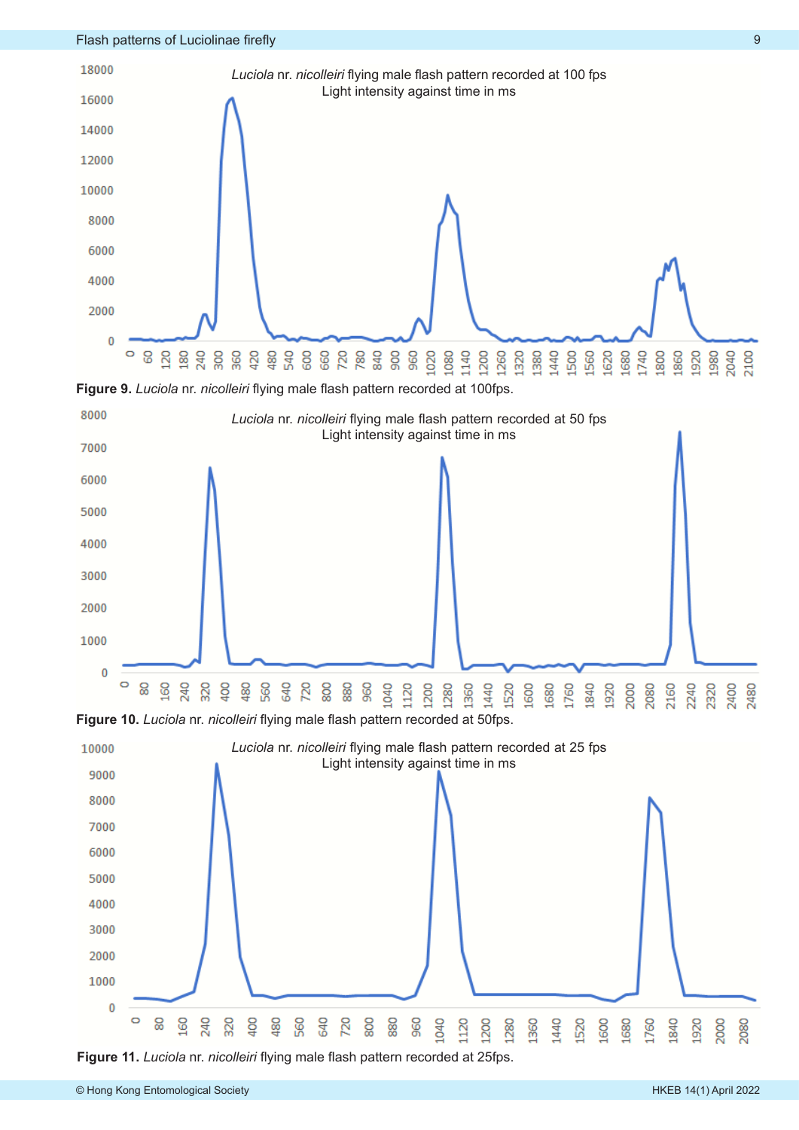

**Figure 11.** *Luciola* nr. *nicolleiri* flying male flash pattern recorded at 25fps.